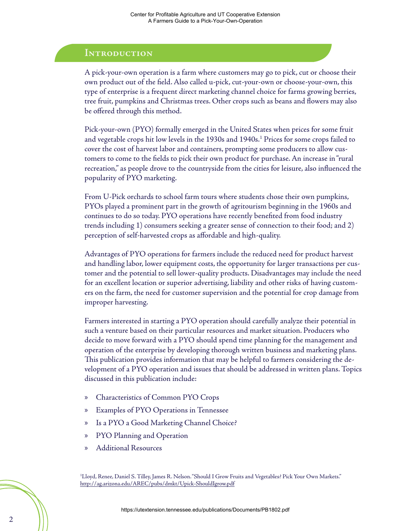#### **Introduction**

A pick-your-own operation is a farm where customers may go to pick, cut or choose their own product out of the field. Also called u-pick, cut-your-own or choose-your-own, this type of enterprise is a frequent direct marketing channel choice for farms growing berries, tree fruit, pumpkins and Christmas trees. Other crops such as beans and flowers may also be offered through this method.

Pick-your-own (PYO) formally emerged in the United States when prices for some fruit and vegetable crops hit low levels in the 1930s and 1940s.<sup>1</sup> Prices for some crops failed to cover the cost of harvest labor and containers, prompting some producers to allow customers to come to the fields to pick their own product for purchase. An increase in "rural recreation," as people drove to the countryside from the cities for leisure, also influenced the popularity of PYO marketing.

From U-Pick orchards to school farm tours where students chose their own pumpkins, PYOs played a prominent part in the growth of agritourism beginning in the 1960s and continues to do so today. PYO operations have recently benefited from food industry trends including 1) consumers seeking a greater sense of connection to their food; and 2) perception of self-harvested crops as affordable and high-quality.

Advantages of PYO operations for farmers include the reduced need for product harvest and handling labor, lower equipment costs, the opportunity for larger transactions per customer and the potential to sell lower-quality products. Disadvantages may include the need for an excellent location or superior advertising, liability and other risks of having customers on the farm, the need for customer supervision and the potential for crop damage from improper harvesting.

Farmers interested in starting a PYO operation should carefully analyze their potential in such a venture based on their particular resources and market situation. Producers who decide to move forward with a PYO should spend time planning for the management and operation of the enterprise by developing thorough written business and marketing plans. This publication provides information that may be helpful to farmers considering the development of a PYO operation and issues that should be addressed in written plans. Topics discussed in this publication include:

- » Characteristics of Common PYO Crops
- » Examples of PYO Operations in Tennessee
- » Is a PYO a Good Marketing Channel Choice?
- » PYO Planning and Operation
- » Additional Resources

1 Lloyd, Renee, Daniel S. Tilley, James R. Nelson. "Should I Grow Fruits and Vegetables? Pick Your Own Markets." http://ag.arizona.edu/AREC/pubs/dmkt/Upick-ShouldIgrow.pdf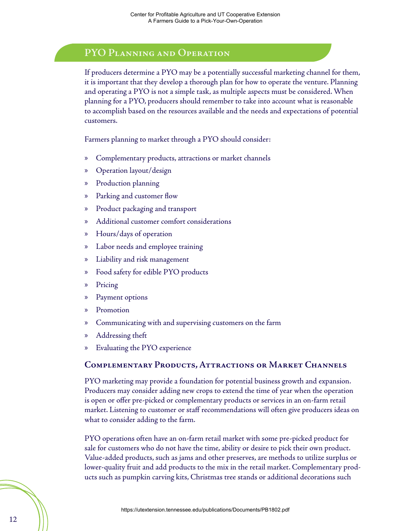## **PYO Planning and Operation**

If producers determine a PYO may be a potentially successful marketing channel for them, it is important that they develop a thorough plan for how to operate the venture. Planning and operating a PYO is not a simple task, as multiple aspects must be considered. When planning for a PYO, producers should remember to take into account what is reasonable to accomplish based on the resources available and the needs and expectations of potential customers.

Farmers planning to market through a PYO should consider:

- » Complementary products, attractions or market channels
- » Operation layout/design
- » Production planning
- » Parking and customer flow
- » Product packaging and transport
- » Additional customer comfort considerations
- » Hours/days of operation
- » Labor needs and employee training
- » Liability and risk management
- » Food safety for edible PYO products
- » Pricing
- » Payment options
- » Promotion
- » Communicating with and supervising customers on the farm
- » Addressing theft
- » Evaluating the PYO experience

#### **Complementary Products, Attractions or Market Channels**

PYO marketing may provide a foundation for potential business growth and expansion. Producers may consider adding new crops to extend the time of year when the operation is open or offer pre-picked or complementary products or services in an on-farm retail market. Listening to customer or staff recommendations will often give producers ideas on what to consider adding to the farm.

PYO operations often have an on-farm retail market with some pre-picked product for sale for customers who do not have the time, ability or desire to pick their own product. Value-added products, such as jams and other preserves, are methods to utilize surplus or lower-quality fruit and add products to the mix in the retail market. Complementary products such as pumpkin carving kits, Christmas tree stands or additional decorations such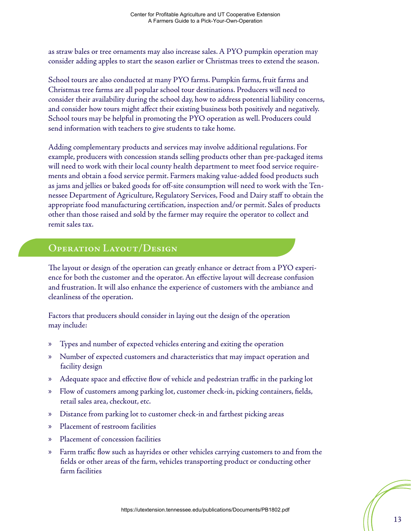as straw bales or tree ornaments may also increase sales. A PYO pumpkin operation may consider adding apples to start the season earlier or Christmas trees to extend the season.

School tours are also conducted at many PYO farms. Pumpkin farms, fruit farms and Christmas tree farms are all popular school tour destinations. Producers will need to consider their availability during the school day, how to address potential liability concerns, and consider how tours might affect their existing business both positively and negatively. School tours may be helpful in promoting the PYO operation as well. Producers could send information with teachers to give students to take home.

Adding complementary products and services may involve additional regulations. For example, producers with concession stands selling products other than pre-packaged items will need to work with their local county health department to meet food service requirements and obtain a food service permit. Farmers making value-added food products such as jams and jellies or baked goods for off-site consumption will need to work with the Tennessee Department of Agriculture, Regulatory Services, Food and Dairy staff to obtain the appropriate food manufacturing certification, inspection and/or permit. Sales of products other than those raised and sold by the farmer may require the operator to collect and remit sales tax.

### **Operation Layout/Design**

The layout or design of the operation can greatly enhance or detract from a PYO experience for both the customer and the operator. An effective layout will decrease confusion and frustration. It will also enhance the experience of customers with the ambiance and cleanliness of the operation.

Factors that producers should consider in laying out the design of the operation may include:

- » Types and number of expected vehicles entering and exiting the operation
- » Number of expected customers and characteristics that may impact operation and facility design
- » Adequate space and effective flow of vehicle and pedestrian traffic in the parking lot
- » Flow of customers among parking lot, customer check-in, picking containers, fields, retail sales area, checkout, etc.
- » Distance from parking lot to customer check-in and farthest picking areas
- » Placement of restroom facilities
- » Placement of concession facilities
- » Farm traffic flow such as hayrides or other vehicles carrying customers to and from the fields or other areas of the farm, vehicles transporting product or conducting other farm facilities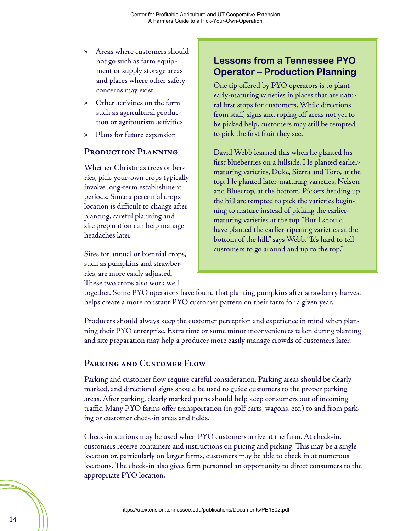- » Areas where customers should not go such as farm equipment or supply storage areas and places where other safety concerns may exist
- » Other activities on the farm such as agricultural production or agritourism activities
- » Plans for future expansion

#### **Production Planning**

Whether Christmas trees or berries, pick-your-own crops typically involve long-term establishment periods. Since a perennial crop's location is difficult to change after planting, careful planning and site preparation can help manage headaches later.

Sites for annual or biennial crops, such as pumpkins and strawberries, are more easily adjusted. These two crops also work well

## **Lessons from a Tennessee PYO Operator – Production Planning**

One tip offered by PYO operators is to plant early-maturing varieties in places that are natural first stops for customers. While directions from staff, signs and roping off areas not yet to be picked help, customers may still be tempted to pick the first fruit they see.

David Webb learned this when he planted his first blueberries on a hillside. He planted earliermaturing varieties, Duke, Sierra and Toro, at the top. He planted later-maturing varieties, Nelson and Bluecrop, at the bottom. Pickers heading up the hill are tempted to pick the varieties beginning to mature instead of picking the earliermaturing varieties at the top. "But I should have planted the earlier-ripening varieties at the bottom of the hill," says Webb. "It's hard to tell customers to go around and up to the top."

together. Some PYO operators have found that planting pumpkins after strawberry harvest helps create a more constant PYO customer pattern on their farm for a given year.

Producers should always keep the customer perception and experience in mind when planning their PYO enterprise. Extra time or some minor inconveniences taken during planting and site preparation may help a producer more easily manage crowds of customers later.

#### **Parking and Customer Flow**

Parking and customer flow require careful consideration. Parking areas should be clearly marked, and directional signs should be used to guide customers to the proper parking areas. After parking, clearly marked paths should help keep consumers out of incoming traffic. Many PYO farms offer transportation (in golf carts, wagons, etc.) to and from parking or customer check-in areas and fields.

Check-in stations may be used when PYO customers arrive at the farm. At check-in, customers receive containers and instructions on pricing and picking. This may be a single location or, particularly on larger farms, customers may be able to check in at numerous locations. The check-in also gives farm personnel an opportunity to direct consumers to the appropriate PYO location.